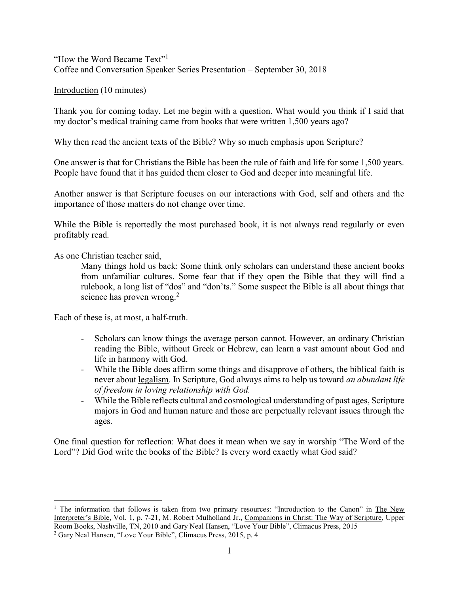"How the Word Became Text"<sup>1</sup> Coffee and Conversation Speaker Series Presentation – September 30, 2018

Introduction (10 minutes)

Thank you for coming today. Let me begin with a question. What would you think if I said that my doctor's medical training came from books that were written 1,500 years ago?

Why then read the ancient texts of the Bible? Why so much emphasis upon Scripture?

One answer is that for Christians the Bible has been the rule of faith and life for some 1,500 years. People have found that it has guided them closer to God and deeper into meaningful life.

Another answer is that Scripture focuses on our interactions with God, self and others and the importance of those matters do not change over time.

While the Bible is reportedly the most purchased book, it is not always read regularly or even profitably read.

As one Christian teacher said,

 $\overline{a}$ 

Many things hold us back: Some think only scholars can understand these ancient books from unfamiliar cultures. Some fear that if they open the Bible that they will find a rulebook, a long list of "dos" and "don'ts." Some suspect the Bible is all about things that science has proven wrong.<sup>2</sup>

Each of these is, at most, a half-truth.

- Scholars can know things the average person cannot. However, an ordinary Christian reading the Bible, without Greek or Hebrew, can learn a vast amount about God and life in harmony with God.
- While the Bible does affirm some things and disapprove of others, the biblical faith is never about legalism. In Scripture, God always aims to help us toward an abundant life of freedom in loving relationship with God.
- While the Bible reflects cultural and cosmological understanding of past ages, Scripture majors in God and human nature and those are perpetually relevant issues through the ages.

One final question for reflection: What does it mean when we say in worship "The Word of the Lord"? Did God write the books of the Bible? Is every word exactly what God said?

<sup>&</sup>lt;sup>1</sup> The information that follows is taken from two primary resources: "Introduction to the Canon" in The New Interpreter's Bible, Vol. 1, p. 7-21, M. Robert Mulholland Jr., Companions in Christ: The Way of Scripture, Upper Room Books, Nashville, TN, 2010 and Gary Neal Hansen, "Love Your Bible", Climacus Press, 2015

<sup>2</sup> Gary Neal Hansen, "Love Your Bible", Climacus Press, 2015, p. 4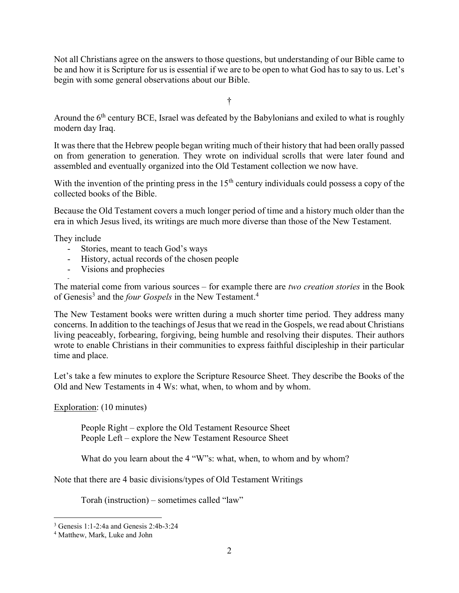Not all Christians agree on the answers to those questions, but understanding of our Bible came to be and how it is Scripture for us is essential if we are to be open to what God has to say to us. Let's begin with some general observations about our Bible.

†

Around the  $6<sup>th</sup>$  century BCE, Israel was defeated by the Babylonians and exiled to what is roughly modern day Iraq.

It was there that the Hebrew people began writing much of their history that had been orally passed on from generation to generation. They wrote on individual scrolls that were later found and assembled and eventually organized into the Old Testament collection we now have.

With the invention of the printing press in the  $15<sup>th</sup>$  century individuals could possess a copy of the collected books of the Bible.

Because the Old Testament covers a much longer period of time and a history much older than the era in which Jesus lived, its writings are much more diverse than those of the New Testament.

They include

-

- Stories, meant to teach God's ways
- History, actual records of the chosen people
- Visions and prophecies

The material come from various sources – for example there are *two creation stories* in the Book of Genesis<sup>3</sup> and the *four Gospels* in the New Testament.<sup>4</sup>

The New Testament books were written during a much shorter time period. They address many concerns. In addition to the teachings of Jesus that we read in the Gospels, we read about Christians living peaceably, forbearing, forgiving, being humble and resolving their disputes. Their authors wrote to enable Christians in their communities to express faithful discipleship in their particular time and place.

Let's take a few minutes to explore the Scripture Resource Sheet. They describe the Books of the Old and New Testaments in 4 Ws: what, when, to whom and by whom.

Exploration: (10 minutes)

People Right – explore the Old Testament Resource Sheet People Left – explore the New Testament Resource Sheet

What do you learn about the 4 "W"s: what, when, to whom and by whom?

Note that there are 4 basic divisions/types of Old Testament Writings

Torah (instruction) – sometimes called "law"

 $\overline{a}$ 

<sup>3</sup> Genesis 1:1-2:4a and Genesis 2:4b-3:24

<sup>4</sup> Matthew, Mark, Luke and John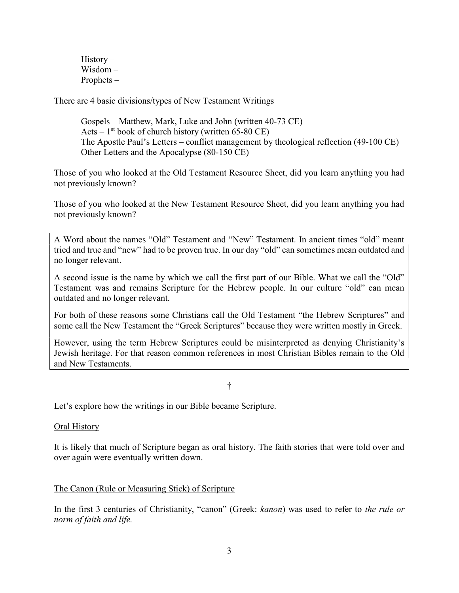History – Wisdom – Prophets –

There are 4 basic divisions/types of New Testament Writings

Gospels – Matthew, Mark, Luke and John (written 40-73 CE) Acts –  $1<sup>st</sup>$  book of church history (written 65-80 CE) The Apostle Paul's Letters – conflict management by theological reflection (49-100 CE) Other Letters and the Apocalypse (80-150 CE)

Those of you who looked at the Old Testament Resource Sheet, did you learn anything you had not previously known?

Those of you who looked at the New Testament Resource Sheet, did you learn anything you had not previously known?

A Word about the names "Old" Testament and "New" Testament. In ancient times "old" meant tried and true and "new" had to be proven true. In our day "old" can sometimes mean outdated and no longer relevant.

A second issue is the name by which we call the first part of our Bible. What we call the "Old" Testament was and remains Scripture for the Hebrew people. In our culture "old" can mean outdated and no longer relevant.

For both of these reasons some Christians call the Old Testament "the Hebrew Scriptures" and some call the New Testament the "Greek Scriptures" because they were written mostly in Greek.

However, using the term Hebrew Scriptures could be misinterpreted as denying Christianity's Jewish heritage. For that reason common references in most Christian Bibles remain to the Old and New Testaments.

†

Let's explore how the writings in our Bible became Scripture.

### Oral History

It is likely that much of Scripture began as oral history. The faith stories that were told over and over again were eventually written down.

# The Canon (Rule or Measuring Stick) of Scripture

In the first 3 centuries of Christianity, "canon" (Greek: kanon) was used to refer to the rule or norm of faith and life.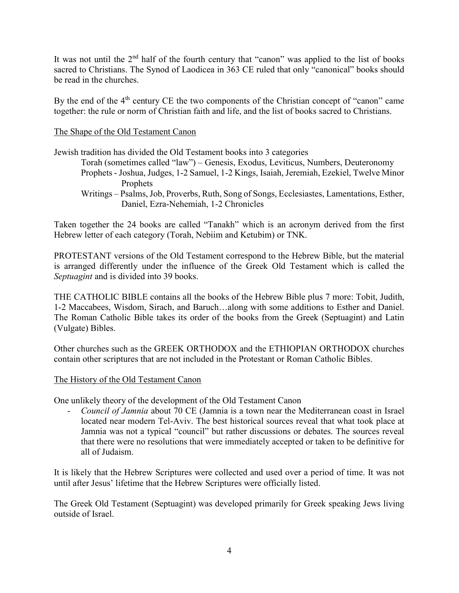It was not until the 2<sup>nd</sup> half of the fourth century that "canon" was applied to the list of books sacred to Christians. The Synod of Laodicea in 363 CE ruled that only "canonical" books should be read in the churches.

By the end of the  $4<sup>th</sup>$  century CE the two components of the Christian concept of "canon" came together: the rule or norm of Christian faith and life, and the list of books sacred to Christians.

## The Shape of the Old Testament Canon

Jewish tradition has divided the Old Testament books into 3 categories

- Torah (sometimes called "law") Genesis, Exodus, Leviticus, Numbers, Deuteronomy
- Prophets Joshua, Judges, 1-2 Samuel, 1-2 Kings, Isaiah, Jeremiah, Ezekiel, Twelve Minor Prophets
- Writings Psalms, Job, Proverbs, Ruth, Song of Songs, Ecclesiastes, Lamentations, Esther, Daniel, Ezra-Nehemiah, 1-2 Chronicles

Taken together the 24 books are called "Tanakh" which is an acronym derived from the first Hebrew letter of each category (Torah, Nebiim and Ketubim) or TNK.

PROTESTANT versions of the Old Testament correspond to the Hebrew Bible, but the material is arranged differently under the influence of the Greek Old Testament which is called the Septuagint and is divided into 39 books.

THE CATHOLIC BIBLE contains all the books of the Hebrew Bible plus 7 more: Tobit, Judith, 1-2 Maccabees, Wisdom, Sirach, and Baruch…along with some additions to Esther and Daniel. The Roman Catholic Bible takes its order of the books from the Greek (Septuagint) and Latin (Vulgate) Bibles.

Other churches such as the GREEK ORTHODOX and the ETHIOPIAN ORTHODOX churches contain other scriptures that are not included in the Protestant or Roman Catholic Bibles.

### The History of the Old Testament Canon

One unlikely theory of the development of the Old Testament Canon

- Council of Jamnia about 70 CE (Jamnia is a town near the Mediterranean coast in Israel located near modern Tel-Aviv. The best historical sources reveal that what took place at Jamnia was not a typical "council" but rather discussions or debates. The sources reveal that there were no resolutions that were immediately accepted or taken to be definitive for all of Judaism.

It is likely that the Hebrew Scriptures were collected and used over a period of time. It was not until after Jesus' lifetime that the Hebrew Scriptures were officially listed.

The Greek Old Testament (Septuagint) was developed primarily for Greek speaking Jews living outside of Israel.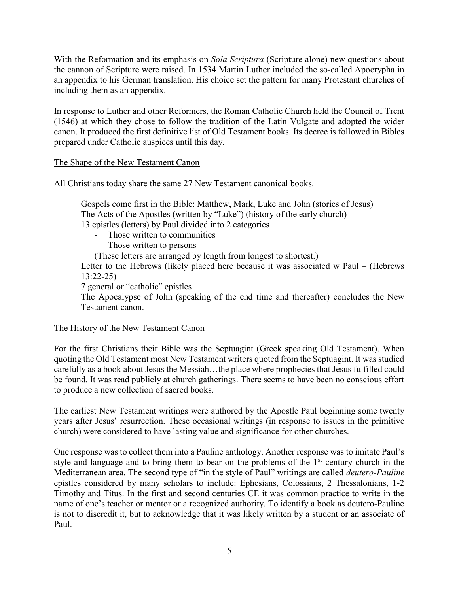With the Reformation and its emphasis on Sola Scriptura (Scripture alone) new questions about the cannon of Scripture were raised. In 1534 Martin Luther included the so-called Apocrypha in an appendix to his German translation. His choice set the pattern for many Protestant churches of including them as an appendix.

In response to Luther and other Reformers, the Roman Catholic Church held the Council of Trent (1546) at which they chose to follow the tradition of the Latin Vulgate and adopted the wider canon. It produced the first definitive list of Old Testament books. Its decree is followed in Bibles prepared under Catholic auspices until this day.

The Shape of the New Testament Canon

All Christians today share the same 27 New Testament canonical books.

Gospels come first in the Bible: Matthew, Mark, Luke and John (stories of Jesus) The Acts of the Apostles (written by "Luke") (history of the early church) 13 epistles (letters) by Paul divided into 2 categories

- Those written to communities
- Those written to persons
- (These letters are arranged by length from longest to shortest.)

Letter to the Hebrews (likely placed here because it was associated w Paul – (Hebrews 13:22-25)

7 general or "catholic" epistles

The Apocalypse of John (speaking of the end time and thereafter) concludes the New Testament canon.

### The History of the New Testament Canon

For the first Christians their Bible was the Septuagint (Greek speaking Old Testament). When quoting the Old Testament most New Testament writers quoted from the Septuagint. It was studied carefully as a book about Jesus the Messiah…the place where prophecies that Jesus fulfilled could be found. It was read publicly at church gatherings. There seems to have been no conscious effort to produce a new collection of sacred books.

The earliest New Testament writings were authored by the Apostle Paul beginning some twenty years after Jesus' resurrection. These occasional writings (in response to issues in the primitive church) were considered to have lasting value and significance for other churches.

One response was to collect them into a Pauline anthology. Another response was to imitate Paul's style and language and to bring them to bear on the problems of the  $1<sup>st</sup>$  century church in the Mediterranean area. The second type of "in the style of Paul" writings are called deutero-Pauline epistles considered by many scholars to include: Ephesians, Colossians, 2 Thessalonians, 1-2 Timothy and Titus. In the first and second centuries CE it was common practice to write in the name of one's teacher or mentor or a recognized authority. To identify a book as deutero-Pauline is not to discredit it, but to acknowledge that it was likely written by a student or an associate of Paul.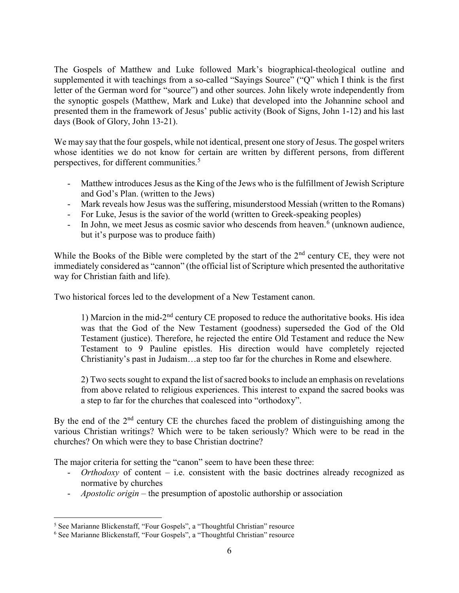The Gospels of Matthew and Luke followed Mark's biographical-theological outline and supplemented it with teachings from a so-called "Sayings Source" ("Q" which I think is the first letter of the German word for "source") and other sources. John likely wrote independently from the synoptic gospels (Matthew, Mark and Luke) that developed into the Johannine school and presented them in the framework of Jesus' public activity (Book of Signs, John 1-12) and his last days (Book of Glory, John 13-21).

We may say that the four gospels, while not identical, present one story of Jesus. The gospel writers whose identities we do not know for certain are written by different persons, from different perspectives, for different communities.<sup>5</sup>

- Matthew introduces Jesus as the King of the Jews who is the fulfillment of Jewish Scripture and God's Plan. (written to the Jews)
- Mark reveals how Jesus was the suffering, misunderstood Messiah (written to the Romans)
- For Luke, Jesus is the savior of the world (written to Greek-speaking peoples)
- In John, we meet Jesus as cosmic savior who descends from heaven.<sup>6</sup> (unknown audience, but it's purpose was to produce faith)

While the Books of the Bible were completed by the start of the  $2<sup>nd</sup>$  century CE, they were not immediately considered as "cannon" (the official list of Scripture which presented the authoritative way for Christian faith and life).

Two historical forces led to the development of a New Testament canon.

1) Marcion in the mid-2nd century CE proposed to reduce the authoritative books. His idea was that the God of the New Testament (goodness) superseded the God of the Old Testament (justice). Therefore, he rejected the entire Old Testament and reduce the New Testament to 9 Pauline epistles. His direction would have completely rejected Christianity's past in Judaism…a step too far for the churches in Rome and elsewhere.

2) Two sects sought to expand the list of sacred books to include an emphasis on revelations from above related to religious experiences. This interest to expand the sacred books was a step to far for the churches that coalesced into "orthodoxy".

By the end of the  $2<sup>nd</sup>$  century CE the churches faced the problem of distinguishing among the various Christian writings? Which were to be taken seriously? Which were to be read in the churches? On which were they to base Christian doctrine?

The major criteria for setting the "canon" seem to have been these three:

- *Orthodoxy* of content i.e. consistent with the basic doctrines already recognized as normative by churches
- Apostolic origin the presumption of apostolic authorship or association

 $\overline{a}$ 

<sup>&</sup>lt;sup>5</sup> See Marianne Blickenstaff, "Four Gospels", a "Thoughtful Christian" resource

<sup>&</sup>lt;sup>6</sup> See Marianne Blickenstaff, "Four Gospels", a "Thoughtful Christian" resource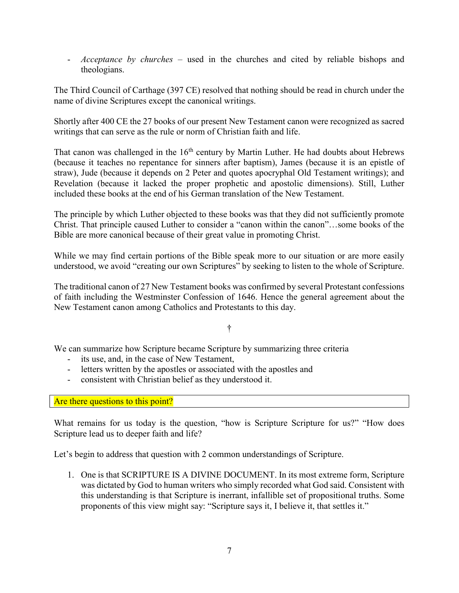- *Acceptance by churches* – used in the churches and cited by reliable bishops and theologians.

The Third Council of Carthage (397 CE) resolved that nothing should be read in church under the name of divine Scriptures except the canonical writings.

Shortly after 400 CE the 27 books of our present New Testament canon were recognized as sacred writings that can serve as the rule or norm of Christian faith and life.

That canon was challenged in the  $16<sup>th</sup>$  century by Martin Luther. He had doubts about Hebrews (because it teaches no repentance for sinners after baptism), James (because it is an epistle of straw), Jude (because it depends on 2 Peter and quotes apocryphal Old Testament writings); and Revelation (because it lacked the proper prophetic and apostolic dimensions). Still, Luther included these books at the end of his German translation of the New Testament.

The principle by which Luther objected to these books was that they did not sufficiently promote Christ. That principle caused Luther to consider a "canon within the canon"…some books of the Bible are more canonical because of their great value in promoting Christ.

While we may find certain portions of the Bible speak more to our situation or are more easily understood, we avoid "creating our own Scriptures" by seeking to listen to the whole of Scripture.

The traditional canon of 27 New Testament books was confirmed by several Protestant confessions of faith including the Westminster Confession of 1646. Hence the general agreement about the New Testament canon among Catholics and Protestants to this day.

†

We can summarize how Scripture became Scripture by summarizing three criteria

- its use, and, in the case of New Testament,
- letters written by the apostles or associated with the apostles and
- consistent with Christian belief as they understood it.

Are there questions to this point?

What remains for us today is the question, "how is Scripture Scripture for us?" "How does Scripture lead us to deeper faith and life?

Let's begin to address that question with 2 common understandings of Scripture.

1. One is that SCRIPTURE IS A DIVINE DOCUMENT. In its most extreme form, Scripture was dictated by God to human writers who simply recorded what God said. Consistent with this understanding is that Scripture is inerrant, infallible set of propositional truths. Some proponents of this view might say: "Scripture says it, I believe it, that settles it."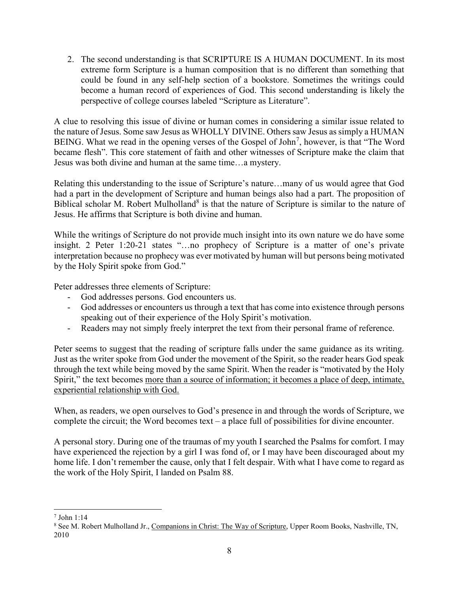2. The second understanding is that SCRIPTURE IS A HUMAN DOCUMENT. In its most extreme form Scripture is a human composition that is no different than something that could be found in any self-help section of a bookstore. Sometimes the writings could become a human record of experiences of God. This second understanding is likely the perspective of college courses labeled "Scripture as Literature".

A clue to resolving this issue of divine or human comes in considering a similar issue related to the nature of Jesus. Some saw Jesus as WHOLLY DIVINE. Others saw Jesus as simply a HUMAN BEING. What we read in the opening verses of the Gospel of John<sup>7</sup>, however, is that "The Word became flesh". This core statement of faith and other witnesses of Scripture make the claim that Jesus was both divine and human at the same time…a mystery.

Relating this understanding to the issue of Scripture's nature…many of us would agree that God had a part in the development of Scripture and human beings also had a part. The proposition of Biblical scholar M. Robert Mulholland<sup>8</sup> is that the nature of Scripture is similar to the nature of Jesus. He affirms that Scripture is both divine and human.

While the writings of Scripture do not provide much insight into its own nature we do have some insight. 2 Peter 1:20-21 states "…no prophecy of Scripture is a matter of one's private interpretation because no prophecy was ever motivated by human will but persons being motivated by the Holy Spirit spoke from God."

Peter addresses three elements of Scripture:

- God addresses persons. God encounters us.
- God addresses or encounters us through a text that has come into existence through persons speaking out of their experience of the Holy Spirit's motivation.
- Readers may not simply freely interpret the text from their personal frame of reference.

Peter seems to suggest that the reading of scripture falls under the same guidance as its writing. Just as the writer spoke from God under the movement of the Spirit, so the reader hears God speak through the text while being moved by the same Spirit. When the reader is "motivated by the Holy Spirit," the text becomes more than a source of information; it becomes a place of deep, intimate, experiential relationship with God.

When, as readers, we open ourselves to God's presence in and through the words of Scripture, we complete the circuit; the Word becomes text – a place full of possibilities for divine encounter.

A personal story. During one of the traumas of my youth I searched the Psalms for comfort. I may have experienced the rejection by a girl I was fond of, or I may have been discouraged about my home life. I don't remember the cause, only that I felt despair. With what I have come to regard as the work of the Holy Spirit, I landed on Psalm 88.

 $\overline{a}$ 7 John 1:14

<sup>&</sup>lt;sup>8</sup> See M. Robert Mulholland Jr., Companions in Christ: The Way of Scripture, Upper Room Books, Nashville, TN, 2010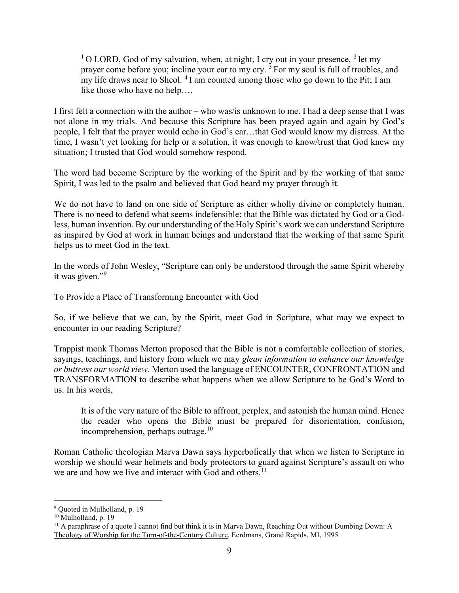<sup>1</sup>O LORD, God of my salvation, when, at night, I cry out in your presence, <sup>2</sup> let my prayer come before you; incline your ear to my cry.  $\frac{3}{3}$  For my soul is full of troubles, and my life draws near to Sheol.  $4$ I am counted among those who go down to the Pit; I am like those who have no help….

I first felt a connection with the author – who was/is unknown to me. I had a deep sense that I was not alone in my trials. And because this Scripture has been prayed again and again by God's people, I felt that the prayer would echo in God's ear…that God would know my distress. At the time, I wasn't yet looking for help or a solution, it was enough to know/trust that God knew my situation; I trusted that God would somehow respond.

The word had become Scripture by the working of the Spirit and by the working of that same Spirit, I was led to the psalm and believed that God heard my prayer through it.

We do not have to land on one side of Scripture as either wholly divine or completely human. There is no need to defend what seems indefensible: that the Bible was dictated by God or a Godless, human invention. By our understanding of the Holy Spirit's work we can understand Scripture as inspired by God at work in human beings and understand that the working of that same Spirit helps us to meet God in the text.

In the words of John Wesley, "Scripture can only be understood through the same Spirit whereby it was given."<sup>9</sup>

# To Provide a Place of Transforming Encounter with God

So, if we believe that we can, by the Spirit, meet God in Scripture, what may we expect to encounter in our reading Scripture?

Trappist monk Thomas Merton proposed that the Bible is not a comfortable collection of stories, sayings, teachings, and history from which we may glean information to enhance our knowledge or buttress our world view. Merton used the language of ENCOUNTER, CONFRONTATION and TRANSFORMATION to describe what happens when we allow Scripture to be God's Word to us. In his words,

It is of the very nature of the Bible to affront, perplex, and astonish the human mind. Hence the reader who opens the Bible must be prepared for disorientation, confusion, incomprehension, perhaps outrage. $10$ 

Roman Catholic theologian Marva Dawn says hyperbolically that when we listen to Scripture in worship we should wear helmets and body protectors to guard against Scripture's assault on who we are and how we live and interact with God and others.<sup>11</sup>

 $\overline{a}$ 

<sup>&</sup>lt;sup>9</sup> Quoted in Mulholland, p. 19

<sup>&</sup>lt;sup>10</sup> Mulholland, p. 19

<sup>&</sup>lt;sup>11</sup> A paraphrase of a quote I cannot find but think it is in Marva Dawn, Reaching Out without Dumbing Down: A Theology of Worship for the Turn-of-the-Century Culture, Eerdmans, Grand Rapids, MI, 1995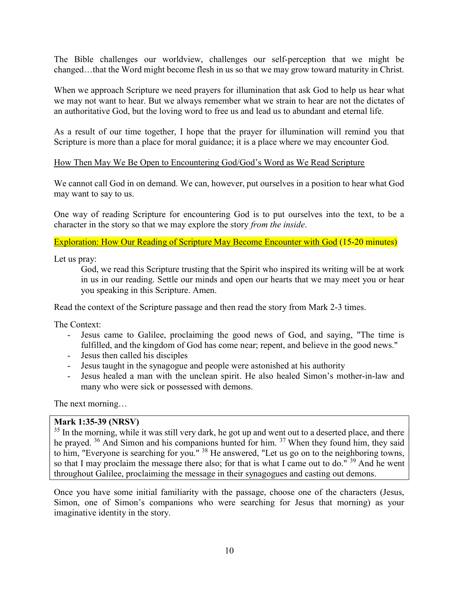The Bible challenges our worldview, challenges our self-perception that we might be changed…that the Word might become flesh in us so that we may grow toward maturity in Christ.

When we approach Scripture we need prayers for illumination that ask God to help us hear what we may not want to hear. But we always remember what we strain to hear are not the dictates of an authoritative God, but the loving word to free us and lead us to abundant and eternal life.

As a result of our time together, I hope that the prayer for illumination will remind you that Scripture is more than a place for moral guidance; it is a place where we may encounter God.

### How Then May We Be Open to Encountering God/God's Word as We Read Scripture

We cannot call God in on demand. We can, however, put ourselves in a position to hear what God may want to say to us.

One way of reading Scripture for encountering God is to put ourselves into the text, to be a character in the story so that we may explore the story from the inside.

## Exploration: How Our Reading of Scripture May Become Encounter with God (15-20 minutes)

Let us pray:

God, we read this Scripture trusting that the Spirit who inspired its writing will be at work in us in our reading. Settle our minds and open our hearts that we may meet you or hear you speaking in this Scripture. Amen.

Read the context of the Scripture passage and then read the story from Mark 2-3 times.

The Context:

- Jesus came to Galilee, proclaiming the good news of God, and saying, "The time is fulfilled, and the kingdom of God has come near; repent, and believe in the good news."
- Jesus then called his disciples
- Jesus taught in the synagogue and people were astonished at his authority
- Jesus healed a man with the unclean spirit. He also healed Simon's mother-in-law and many who were sick or possessed with demons.

The next morning…

### Mark 1:35-39 (NRSV)

<sup>35</sup> In the morning, while it was still very dark, he got up and went out to a deserted place, and there he prayed. <sup>36</sup> And Simon and his companions hunted for him. <sup>37</sup> When they found him, they said to him, "Everyone is searching for you." <sup>38</sup> He answered, "Let us go on to the neighboring towns, so that I may proclaim the message there also; for that is what I came out to do."<sup>39</sup> And he went throughout Galilee, proclaiming the message in their synagogues and casting out demons.

Once you have some initial familiarity with the passage, choose one of the characters (Jesus, Simon, one of Simon's companions who were searching for Jesus that morning) as your imaginative identity in the story.